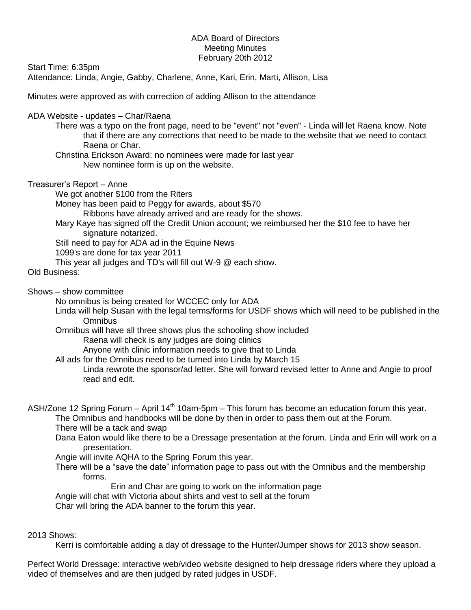## ADA Board of Directors Meeting Minutes February 20th 2012

Start Time: 6:35pm

Attendance: Linda, Angie, Gabby, Charlene, Anne, Kari, Erin, Marti, Allison, Lisa

Minutes were approved as with correction of adding Allison to the attendance

ADA Website - updates – Char/Raena

There was a typo on the front page, need to be "event" not "even" - Linda will let Raena know. Note that if there are any corrections that need to be made to the website that we need to contact Raena or Char.

Christina Erickson Award: no nominees were made for last year New nominee form is up on the website.

Treasurer's Report – Anne

We got another \$100 from the Riters

Money has been paid to Peggy for awards, about \$570

Ribbons have already arrived and are ready for the shows.

Mary Kaye has signed off the Credit Union account; we reimbursed her the \$10 fee to have her signature notarized.

Still need to pay for ADA ad in the Equine News

1099's are done for tax year 2011

This year all judges and TD's will fill out W-9 @ each show.

Old Business:

Shows – show committee

No omnibus is being created for WCCEC only for ADA

Linda will help Susan with the legal terms/forms for USDF shows which will need to be published in the **Omnibus** 

Omnibus will have all three shows plus the schooling show included

Raena will check is any judges are doing clinics

Anyone with clinic information needs to give that to Linda

All ads for the Omnibus need to be turned into Linda by March 15

Linda rewrote the sponsor/ad letter. She will forward revised letter to Anne and Angie to proof read and edit.

ASH/Zone 12 Spring Forum – April 14<sup>th</sup> 10am-5pm – This forum has become an education forum this year. The Omnibus and handbooks will be done by then in order to pass them out at the Forum.

There will be a tack and swap

Dana Eaton would like there to be a Dressage presentation at the forum. Linda and Erin will work on a presentation.

Angie will invite AQHA to the Spring Forum this year.

There will be a "save the date" information page to pass out with the Omnibus and the membership forms.

Erin and Char are going to work on the information page

Angie will chat with Victoria about shirts and vest to sell at the forum

Char will bring the ADA banner to the forum this year.

## 2013 Shows:

Kerri is comfortable adding a day of dressage to the Hunter/Jumper shows for 2013 show season.

Perfect World Dressage: interactive web/video website designed to help dressage riders where they upload a video of themselves and are then judged by rated judges in USDF.